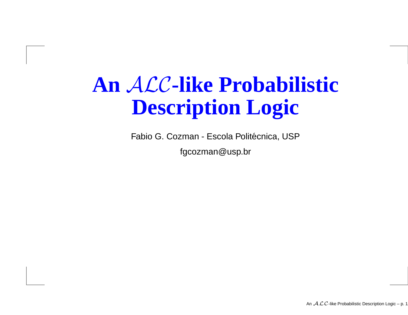### **An** ALC**-like Probabilistic Description Logic**

Fabio G. Cozman - Escola Politécnica, USP fgcozman@usp.br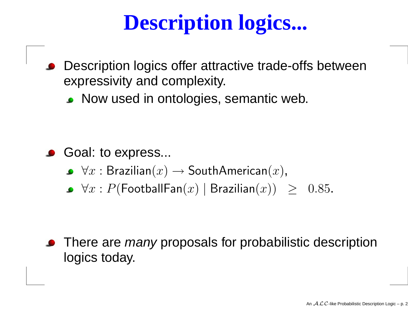# **Description logics...**

- Description logics offer attractive trade-offs betweenexpressivity and complexity.
	- **Now used in ontologies, semantic web.**

- Goal: to express...
	- $\forall x : \mathsf{Brazilian}(x) \rightarrow \mathsf{SouthAmerican}(x),$
	- $\forall x : P(\mathsf{FootballFan}(x) \mid \mathsf{Brazilian}(x)) \geq 0.85.$

There are *many* proposals for probabilistic description logics today.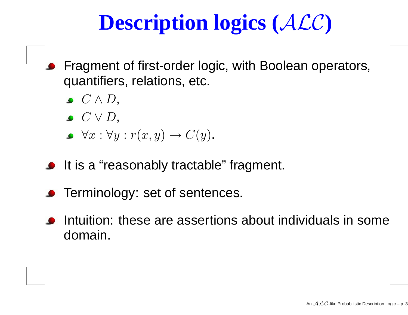### **Description logics (**ALC**)**

- Fragment of first-order logic, with Boolean operators, quantifiers, relations, etc.
	- $C\wedge D,$
	- $C\vee D,$
	- $\forall x: \forall y: r(x,y) \rightarrow C(y).$
- **It is a "reasonably tractable" fragment.**
- **•** Terminology: set of sentences.
- Intuition: these are assertions about individuals in somedomain.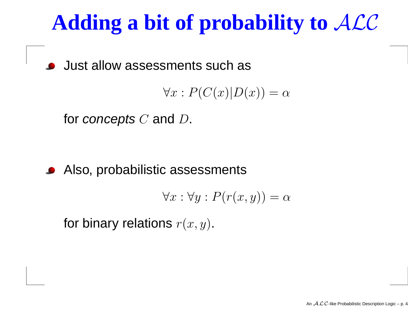# **Adding <sup>a</sup> bit of probability to** ALC

Just allow assessments such as

$$
\forall x : P(C(x)|D(x)) = \alpha
$$

for  $\boldsymbol{concepts}\ C$  and  $D.$ 

Also, probabilistic assessments

$$
\forall x : \forall y : P(r(x, y)) = \alpha
$$

for binary relations  $r(x, y).$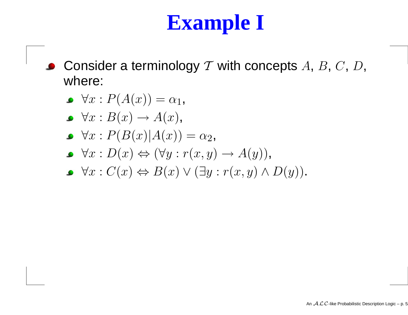### **Example I**

Consider a terminology  ${\cal T}$  with concepts  $A,$   $B,$   $C,$   $D,$  $\bullet$ where:

$$
\blacktriangleright \forall x : P(A(x)) = \alpha_1,
$$

- $\forall x : B(x) \rightarrow A(x),$ <br> $\forall x : D(D(x)) \land A(x)$
- $\forall x: P(B(x)|A(x)) = \alpha_2,$
- $\forall x : D(x) \Leftrightarrow (\forall y : r(x, y) \rightarrow A(y)),$
- $\forall x : C(x) \Leftrightarrow B(x) \vee (\exists y : r(x, y) \wedge D(y)).$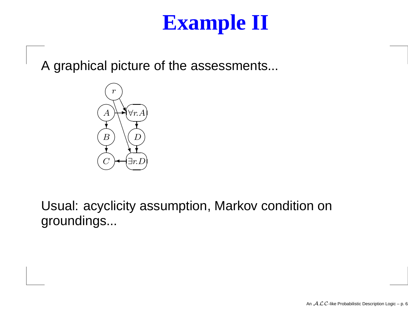#### **Example II**

A graphical picture of the assessments...



Usual: acyclicity assumption, Markov condition ongroundings...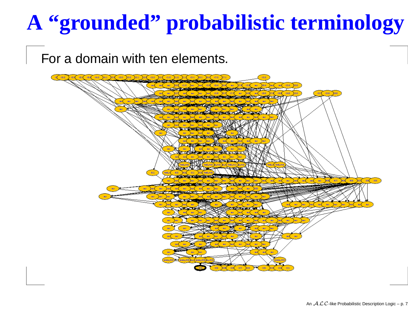# **A "grounded" probabilistic terminology**

#### For <sup>a</sup> domain with ten elements.

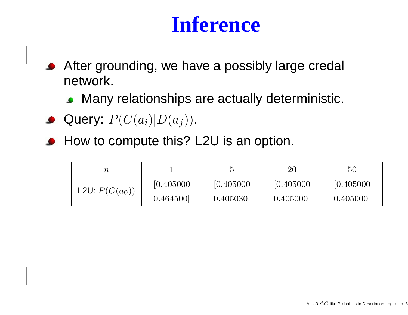#### **Inference**

- After grounding, we have <sup>a</sup> possibly large credal  $\bullet$ network.
	- Many relationships are actually deterministic.
- Query:  $P(C(a_i)|D(a_j)).$
- How to compute this? L2U is an option.

| $\, n \,$               |            |            | 20         | $50\,$     |
|-------------------------|------------|------------|------------|------------|
| <b>L2U:</b> $P(C(a_0))$ | [0.405000] | [0.405000] | [0.405000] | [0.405000] |
|                         | 0.464500   | 0.405030   | 0.405000   | 0.405000   |